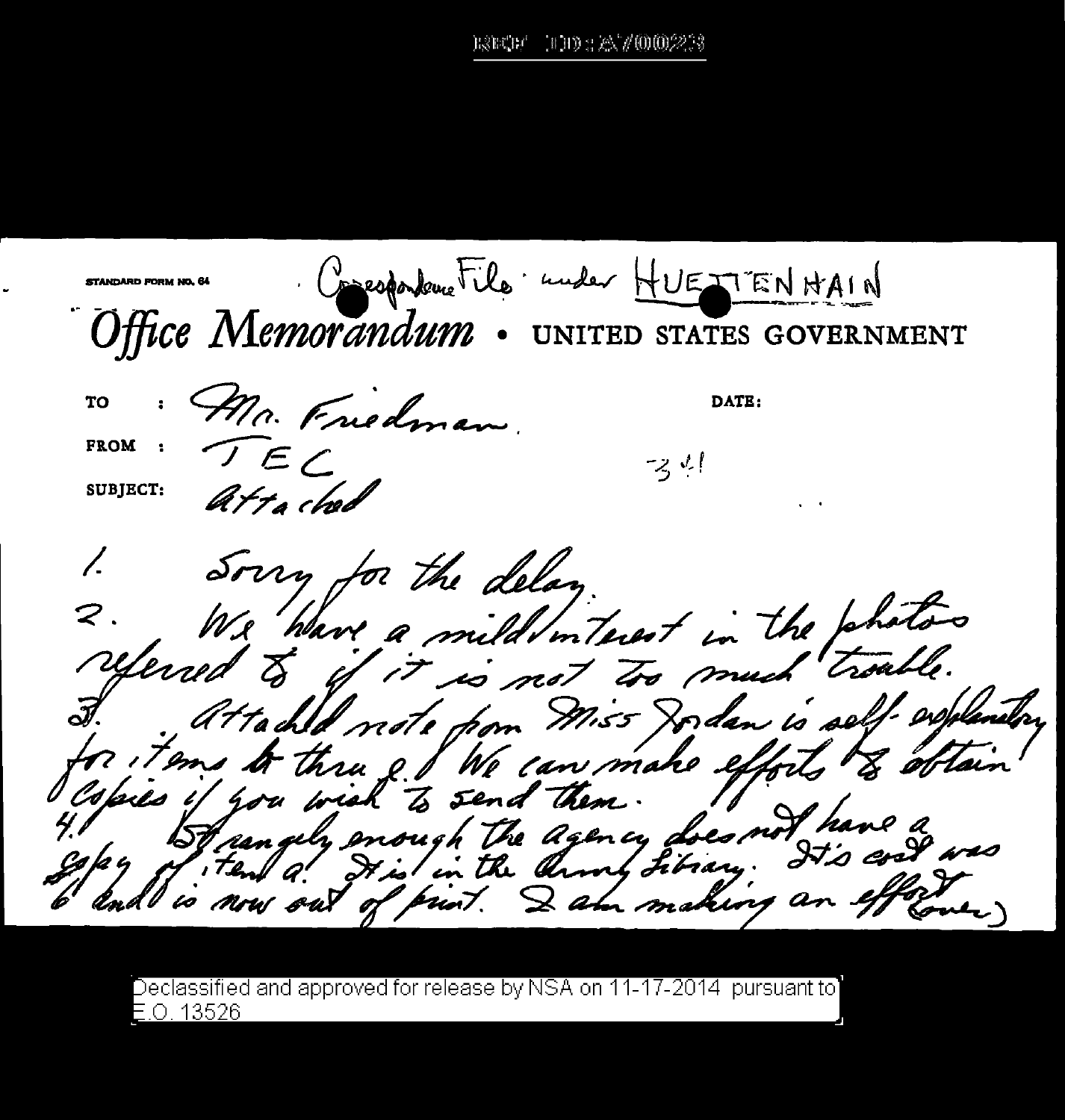ははい - THE A /(00023

Consessantement ile under HUE TTENHAIN STANDARD FORM NO Office Memorandum . UNITED STATES GOVERNMENT · Mr. Friedman. **TO** DATE: TEL FROM : マック atto chod **SUBJECT:** Sorry for the delay We have a mild interest in the photos eferred to if it is not too much trouble. Attached note from Miss Jordan is self-explanatory tor it empto thru & I We can make effect & obtain To ungely enough the agency does not have a that a It is in the dring siding. It's coal was and is now out of print. I am making an effort

Declassified and approved for release by NSA on 11-17-2014 pursuant to] E.O. 13526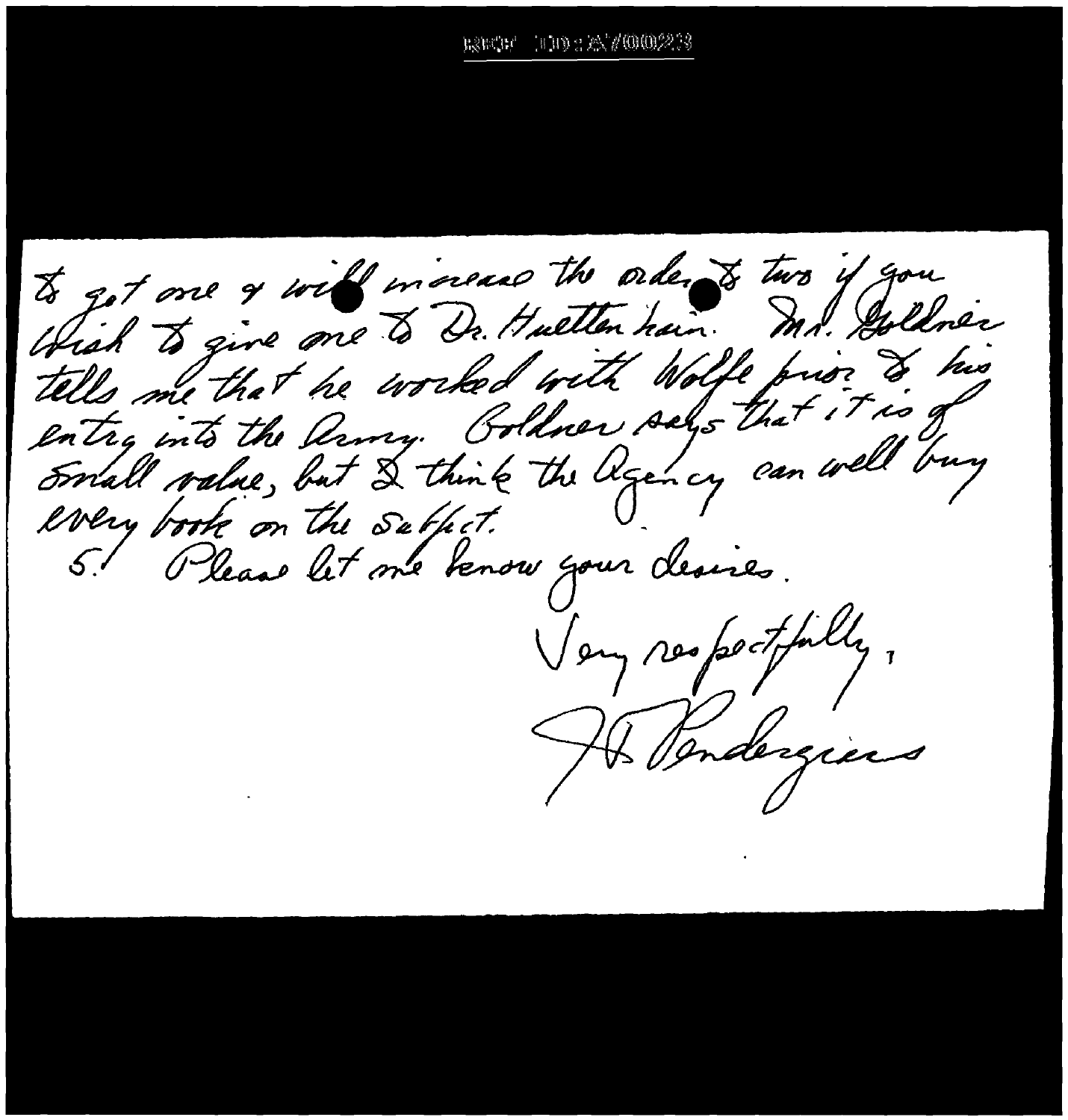## TOD : AVOO23 s≷l¤Ct≠' i

to get one of will morease the order to two if you Which to give one to Dr. Huetten hair. Ind. Julianes tells me that he worked with Wolfe prior & his entry into the Army. Goldner selys that it is of Swall value, but & think the Agency can well buy every book on the Sablet. 5.1 Please let me tenou your desires. Very respectfully, Holbergiers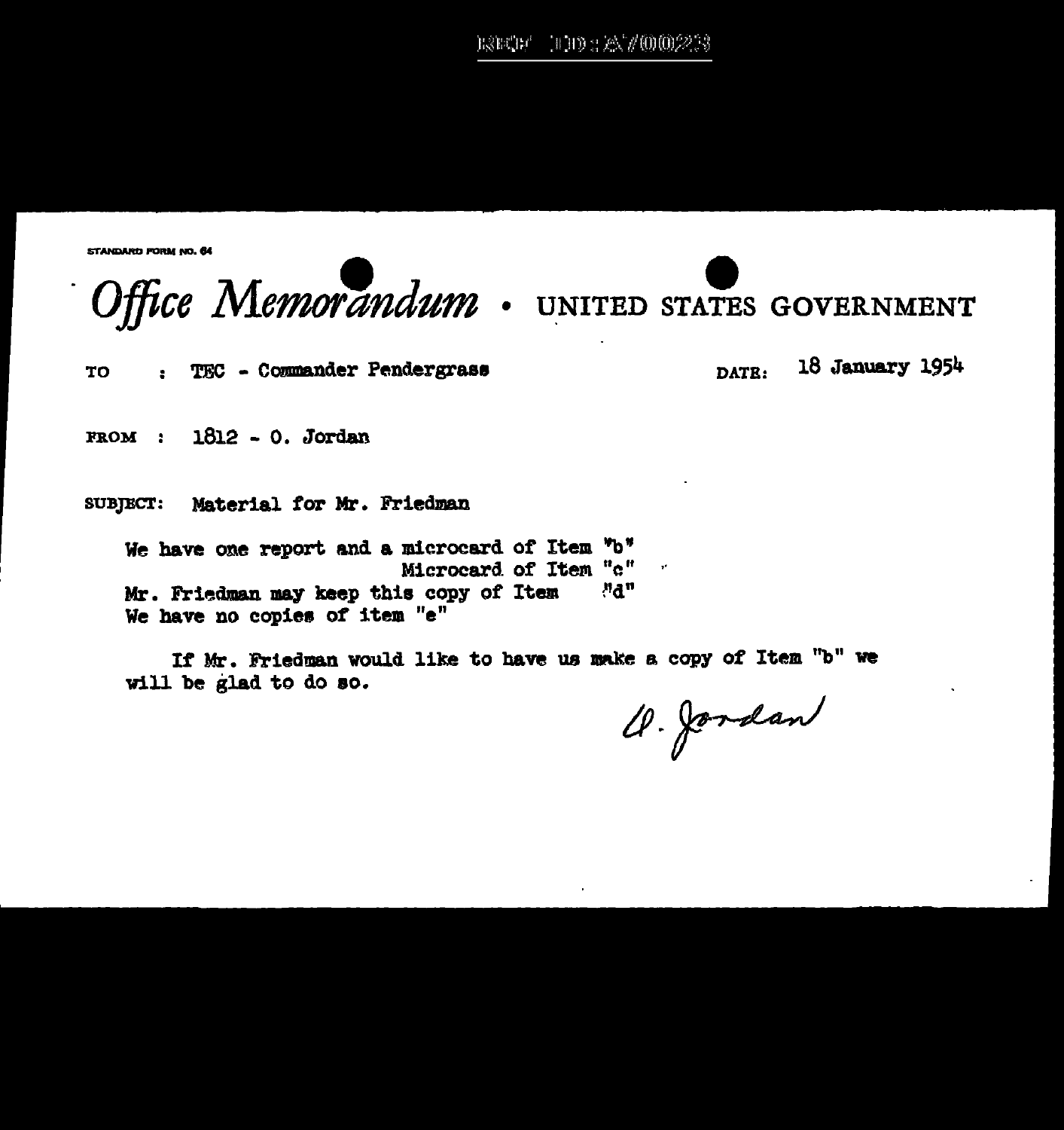**CTANDARD ROBM AD RA** 



TEC - Commander Pendergrass **TO**  $\mathbf{r}$ 

18 January 1954 DATR:

 $ROM : 1812 - 0.$  Jordan

Material for Mr. Friedman SUBJECT:

We have one report and a microcard of Item "b" Microcard of Item "c"  $\sim$   $\sim$ Mr. Friedman may keep this copy of Item Man We have no copies of item "e"

If Mr. Friedman would like to have us make a copy of Item "b" we will be glad to do so.

Cl. Jordan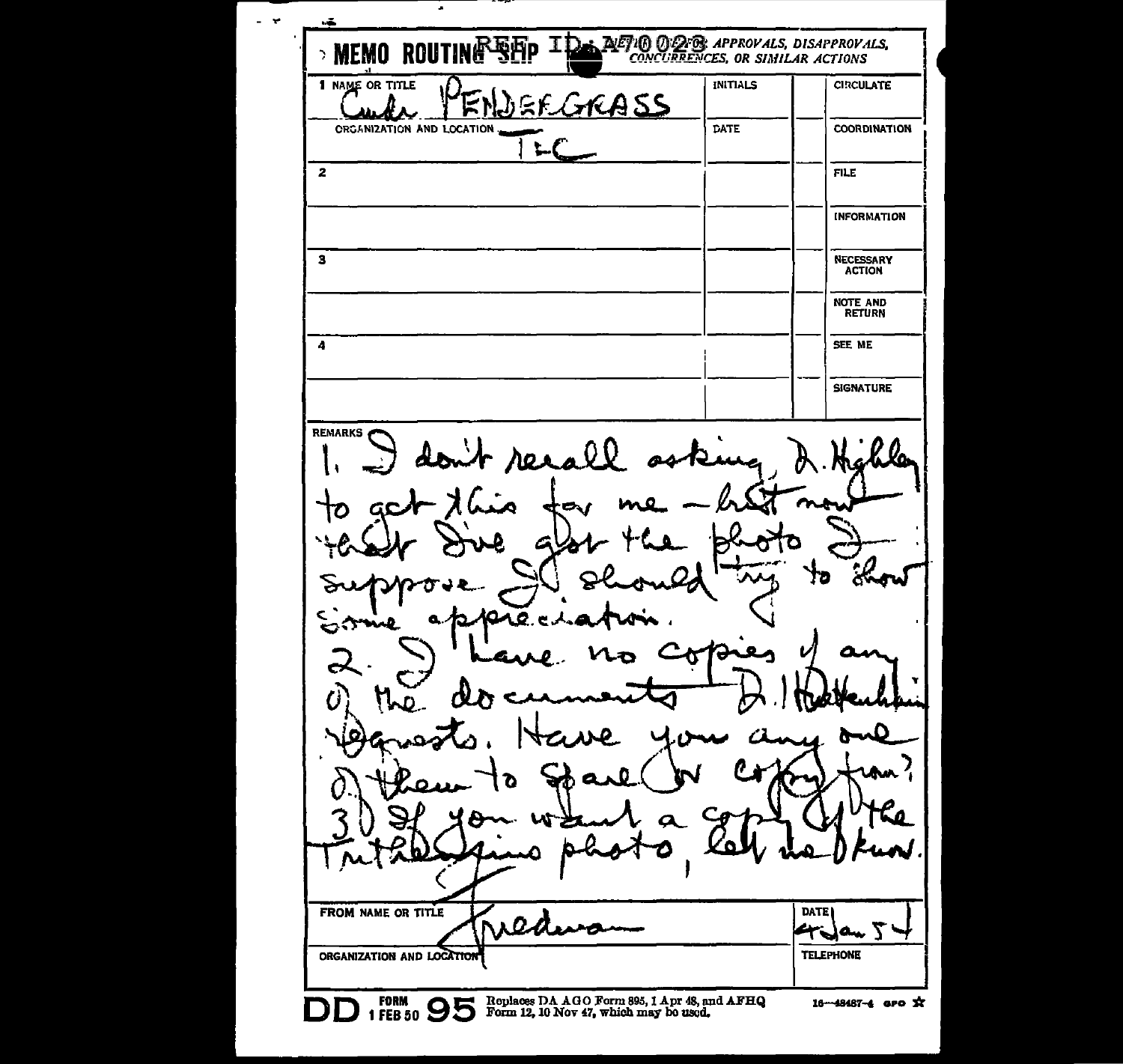ä.  $\star$  $\overline{a}$ IDA AFTIG OPPER APPROVALS, DISAPPROVALS, **英国D > MEMO ROU** 1 NAME OR TITLE **INITIALS CIRCULATE** <u> کک 4</u>ک **ORGANIZATION AND LOCATION** DATE **COORDINATION**  $\mathbf{z}$ **FILE INFORMATION**  $\mathbf{3}$ NECESSARY<br>ACTION NOTE AND **RETURN**  $\overline{4}$ SEE ME **SIGNATURE REMARKS** recall ふト dis محتمتين 79 2 с ۞ت Э α Ó DATE FROM NAME OR TITLE 0. t Jan 5 ORGANIZATION AND LOCATION **TELEPHONE DD** 1 FEB 50 95 Form 12, 10 Nov 47, which may be used. 16-48487-4 GPO X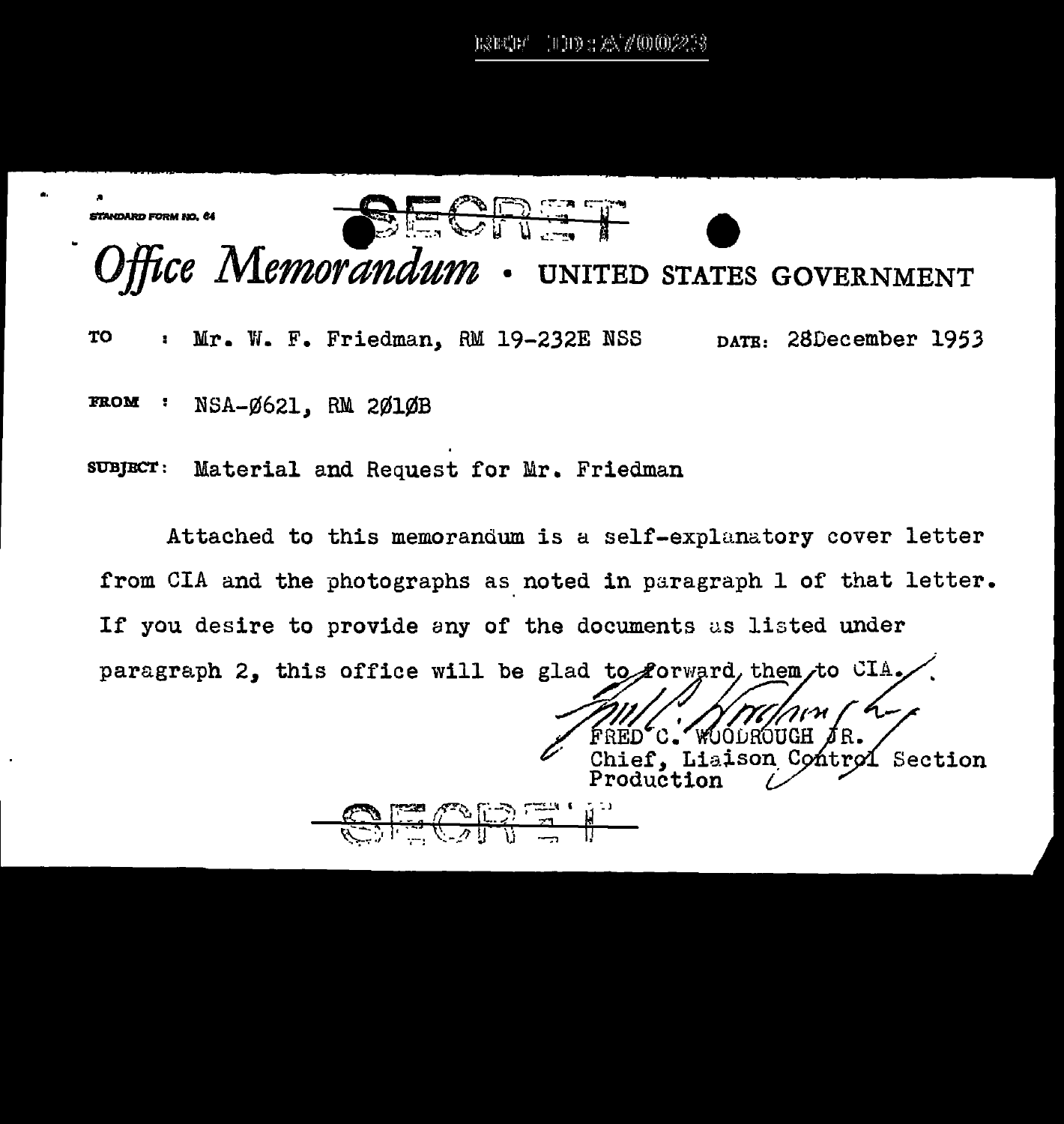- 100 : A70023 rarche"



Material and Request for Mr. Friedman

Attached to this memorandum is a self-explanatory cover letter from CIA and the photographs as noted in paragraph 1 of that letter. If you desire to provide any of the documents as listed under paragraph 2, this office will be glad to forward, them, to CIA.

**ČGROTIGH** Chief, Liaison Control Section Production

 $= 12.5$